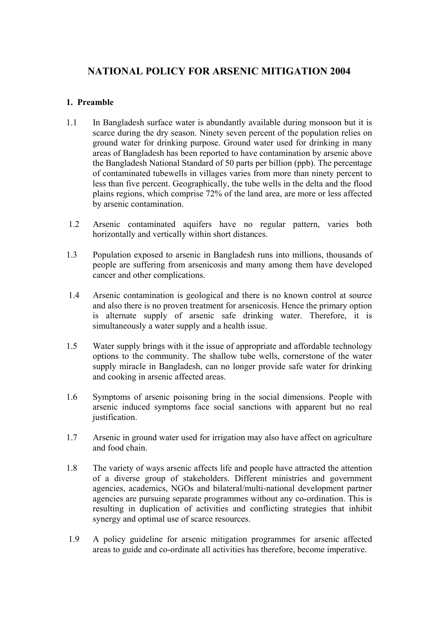# **NATIONAL POLICY FOR ARSENIC MITIGATION 2004**

# **1. Preamble**

- 1.1 In Bangladesh surface water is abundantly available during monsoon but it is scarce during the dry season. Ninety seven percent of the population relies on ground water for drinking purpose. Ground water used for drinking in many areas of Bangladesh has been reported to have contamination by arsenic above the Bangladesh National Standard of 50 parts per billion (ppb). The percentage of contaminated tubewells in villages varies from more than ninety percent to less than five percent. Geographically, the tube wells in the delta and the flood plains regions, which comprise 72% of the land area, are more or less affected by arsenic contamination.
- 1.2 Arsenic contaminated aquifers have no regular pattern, varies both horizontally and vertically within short distances.
- 1.3 Population exposed to arsenic in Bangladesh runs into millions, thousands of people are suffering from arsenicosis and many among them have developed cancer and other complications.
- 1.4 Arsenic contamination is geological and there is no known control at source and also there is no proven treatment for arsenicosis. Hence the primary option is alternate supply of arsenic safe drinking water. Therefore, it is simultaneously a water supply and a health issue.
- 1.5 Water supply brings with it the issue of appropriate and affordable technology options to the community. The shallow tube wells, cornerstone of the water supply miracle in Bangladesh, can no longer provide safe water for drinking and cooking in arsenic affected areas.
- 1.6 Symptoms of arsenic poisoning bring in the social dimensions. People with arsenic induced symptoms face social sanctions with apparent but no real justification.
- 1.7 Arsenic in ground water used for irrigation may also have affect on agriculture and food chain.
- 1.8 The variety of ways arsenic affects life and people have attracted the attention of a diverse group of stakeholders. Different ministries and government agencies, academics, NGOs and bilateral/multi-national development partner agencies are pursuing separate programmes without any co-ordination. This is resulting in duplication of activities and conflicting strategies that inhibit synergy and optimal use of scarce resources.
- 1.9 A policy guideline for arsenic mitigation programmes for arsenic affected areas to guide and co-ordinate all activities has therefore, become imperative.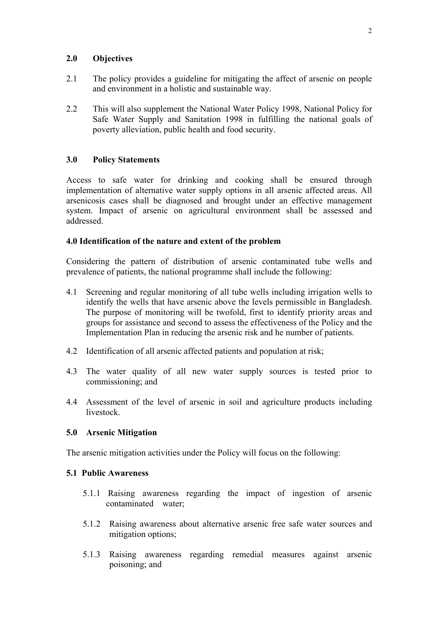# **2.0 Objectives**

- 2.1 The policy provides a guideline for mitigating the affect of arsenic on people and environment in a holistic and sustainable way.
- 2.2 This will also supplement the National Water Policy 1998, National Policy for Safe Water Supply and Sanitation 1998 in fulfilling the national goals of poverty alleviation, public health and food security.

# **3.0 Policy Statements**

Access to safe water for drinking and cooking shall be ensured through implementation of alternative water supply options in all arsenic affected areas. All arsenicosis cases shall be diagnosed and brought under an effective management system. Impact of arsenic on agricultural environment shall be assessed and addressed.

#### **4.0 Identification of the nature and extent of the problem**

Considering the pattern of distribution of arsenic contaminated tube wells and prevalence of patients, the national programme shall include the following:

- 4.1 Screening and regular monitoring of all tube wells including irrigation wells to identify the wells that have arsenic above the levels permissible in Bangladesh. The purpose of monitoring will be twofold, first to identify priority areas and groups for assistance and second to assess the effectiveness of the Policy and the Implementation Plan in reducing the arsenic risk and he number of patients.
- 4.2 Identification of all arsenic affected patients and population at risk;
- 4.3 The water quality of all new water supply sources is tested prior to commissioning; and
- 4.4 Assessment of the level of arsenic in soil and agriculture products including livestock.

#### **5.0 Arsenic Mitigation**

The arsenic mitigation activities under the Policy will focus on the following:

#### **5.1 Public Awareness**

- 5.1.1 Raising awareness regarding the impact of ingestion of arsenic contaminated water;
- 5.1.2 Raising awareness about alternative arsenic free safe water sources and mitigation options;
- 5.1.3 Raising awareness regarding remedial measures against arsenic poisoning; and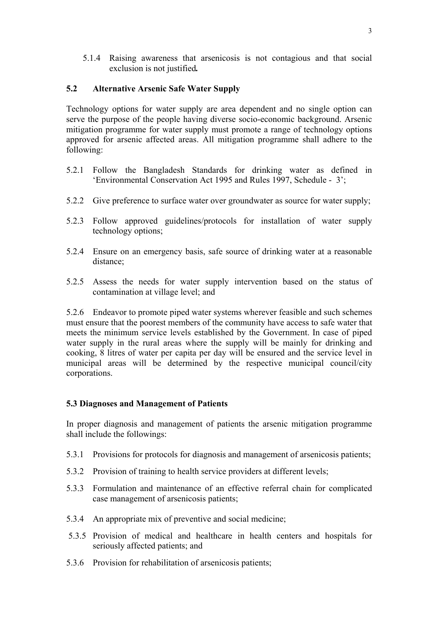5.1.4 Raising awareness that arsenicosis is not contagious and that social exclusion is not justified*.*

# **5.2 Alternative Arsenic Safe Water Supply**

Technology options for water supply are area dependent and no single option can serve the purpose of the people having diverse socio-economic background. Arsenic mitigation programme for water supply must promote a range of technology options approved for arsenic affected areas. All mitigation programme shall adhere to the following:

- 5.2.1 Follow the Bangladesh Standards for drinking water as defined in 'Environmental Conservation Act 1995 and Rules 1997, Schedule - 3';
- 5.2.2 Give preference to surface water over groundwater as source for water supply;
- 5.2.3 Follow approved guidelines/protocols for installation of water supply technology options;
- 5.2.4 Ensure on an emergency basis, safe source of drinking water at a reasonable distance;
- 5.2.5 Assess the needs for water supply intervention based on the status of contamination at village level; and

5.2.6 Endeavor to promote piped water systems wherever feasible and such schemes must ensure that the poorest members of the community have access to safe water that meets the minimum service levels established by the Government. In case of piped water supply in the rural areas where the supply will be mainly for drinking and cooking, 8 litres of water per capita per day will be ensured and the service level in municipal areas will be determined by the respective municipal council/city corporations.

#### **5.3 Diagnoses and Management of Patients**

In proper diagnosis and management of patients the arsenic mitigation programme shall include the followings:

- 5.3.1 Provisions for protocols for diagnosis and management of arsenicosis patients;
- 5.3.2 Provision of training to health service providers at different levels;
- 5.3.3 Formulation and maintenance of an effective referral chain for complicated case management of arsenicosis patients;
- 5.3.4 An appropriate mix of preventive and social medicine;
- 5.3.5 Provision of medical and healthcare in health centers and hospitals for seriously affected patients; and
- 5.3.6 Provision for rehabilitation of arsenicosis patients;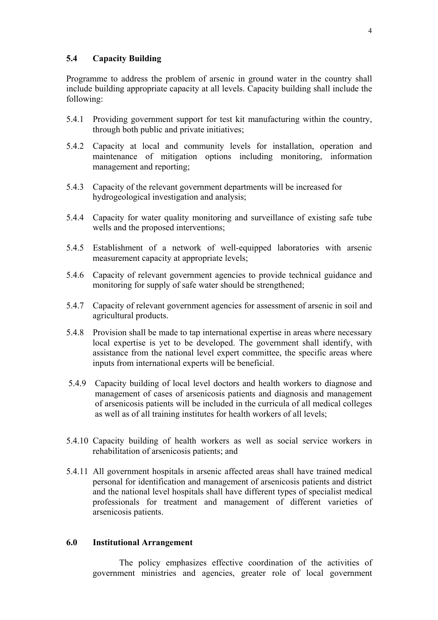## **5.4 Capacity Building**

Programme to address the problem of arsenic in ground water in the country shall include building appropriate capacity at all levels. Capacity building shall include the following:

- 5.4.1 Providing government support for test kit manufacturing within the country, through both public and private initiatives;
- 5.4.2 Capacity at local and community levels for installation, operation and maintenance of mitigation options including monitoring, information management and reporting;
- 5.4.3 Capacity of the relevant government departments will be increased for hydrogeological investigation and analysis;
- 5.4.4 Capacity for water quality monitoring and surveillance of existing safe tube wells and the proposed interventions;
- 5.4.5 Establishment of a network of well-equipped laboratories with arsenic measurement capacity at appropriate levels;
- 5.4.6 Capacity of relevant government agencies to provide technical guidance and monitoring for supply of safe water should be strengthened;
- 5.4.7 Capacity of relevant government agencies for assessment of arsenic in soil and agricultural products.
- 5.4.8 Provision shall be made to tap international expertise in areas where necessary local expertise is yet to be developed. The government shall identify, with assistance from the national level expert committee, the specific areas where inputs from international experts will be beneficial.
- 5.4.9 Capacity building of local level doctors and health workers to diagnose and management of cases of arsenicosis patients and diagnosis and management of arsenicosis patients will be included in the curricula of all medical colleges as well as of all training institutes for health workers of all levels;
- 5.4.10 Capacity building of health workers as well as social service workers in rehabilitation of arsenicosis patients; and
- 5.4.11 All government hospitals in arsenic affected areas shall have trained medical personal for identification and management of arsenicosis patients and district and the national level hospitals shall have different types of specialist medical professionals for treatment and management of different varieties of arsenicosis patients.

#### **6.0 Institutional Arrangement**

The policy emphasizes effective coordination of the activities of government ministries and agencies, greater role of local government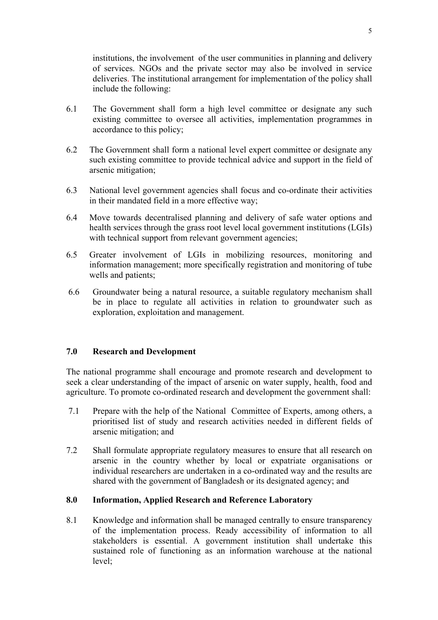institutions, the involvement of the user communities in planning and delivery of services. NGOs and the private sector may also be involved in service deliveries. The institutional arrangement for implementation of the policy shall include the following:

- 6.1 The Government shall form a high level committee or designate any such existing committee to oversee all activities, implementation programmes in accordance to this policy;
- 6.2 The Government shall form a national level expert committee or designate any such existing committee to provide technical advice and support in the field of arsenic mitigation;
- 6.3 National level government agencies shall focus and co-ordinate their activities in their mandated field in a more effective way;
- 6.4 Move towards decentralised planning and delivery of safe water options and health services through the grass root level local government institutions (LGIs) with technical support from relevant government agencies;
- 6.5 Greater involvement of LGIs in mobilizing resources, monitoring and information management; more specifically registration and monitoring of tube wells and patients;
- 6.6 Groundwater being a natural resource, a suitable regulatory mechanism shall be in place to regulate all activities in relation to groundwater such as exploration, exploitation and management.

#### **7.0 Research and Development**

The national programme shall encourage and promote research and development to seek a clear understanding of the impact of arsenic on water supply, health, food and agriculture. To promote co-ordinated research and development the government shall:

- 7.1 Prepare with the help of the National Committee of Experts, among others, a prioritised list of study and research activities needed in different fields of arsenic mitigation; and
- 7.2 Shall formulate appropriate regulatory measures to ensure that all research on arsenic in the country whether by local or expatriate organisations or individual researchers are undertaken in a co-ordinated way and the results are shared with the government of Bangladesh or its designated agency; and

#### **8.0 Information, Applied Research and Reference Laboratory**

8.1 Knowledge and information shall be managed centrally to ensure transparency of the implementation process. Ready accessibility of information to all stakeholders is essential. A government institution shall undertake this sustained role of functioning as an information warehouse at the national level;